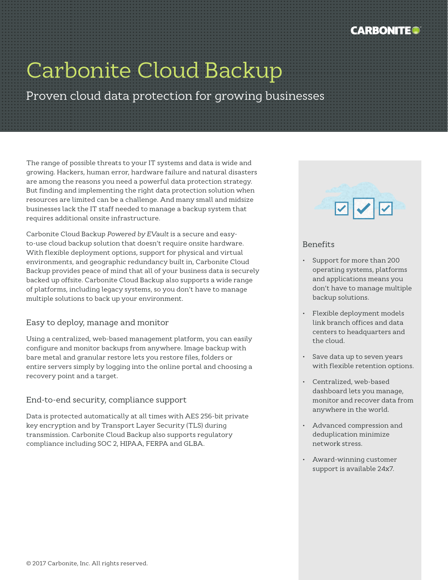

# Carbonite Cloud Backup

Proven cloud data protection for growing businesses

The range of possible threats to your IT systems and data is wide and growing. Hackers, human error, hardware failure and natural disasters are among the reasons you need a powerful data protection strategy. But finding and implementing the right data protection solution when resources are limited can be a challenge. And many small and midsize businesses lack the IT staff needed to manage a backup system that requires additional onsite infrastructure.

Carbonite Cloud Backup *Powered by EVault* is a secure and easyto-use cloud backup solution that doesn't require onsite hardware. With flexible deployment options, support for physical and virtual environments, and geographic redundancy built in, Carbonite Cloud Backup provides peace of mind that all of your business data is securely backed up offsite. Carbonite Cloud Backup also supports a wide range of platforms, including legacy systems, so you don't have to manage multiple solutions to back up your environment.

## Easy to deploy, manage and monitor

Using a centralized, web-based management platform, you can easily configure and monitor backups from anywhere. Image backup with bare metal and granular restore lets you restore files, folders or entire servers simply by logging into the online portal and choosing a recovery point and a target.

## End-to-end security, compliance support

Data is protected automatically at all times with AES 256-bit private key encryption and by Transport Layer Security (TLS) during transmission. Carbonite Cloud Backup also supports regulatory compliance including SOC 2, HIPAA, FERPA and GLBA.



## Benefits

- Support for more than 200 operating systems, platforms and applications means you don't have to manage multiple backup solutions.
- Flexible deployment models link branch offices and data centers to headquarters and the cloud.
- Save data up to seven years with flexible retention options.
- Centralized, web-based dashboard lets you manage, monitor and recover data from anywhere in the world.
- Advanced compression and deduplication minimize network stress.
- Award-winning customer support is available 24x7.